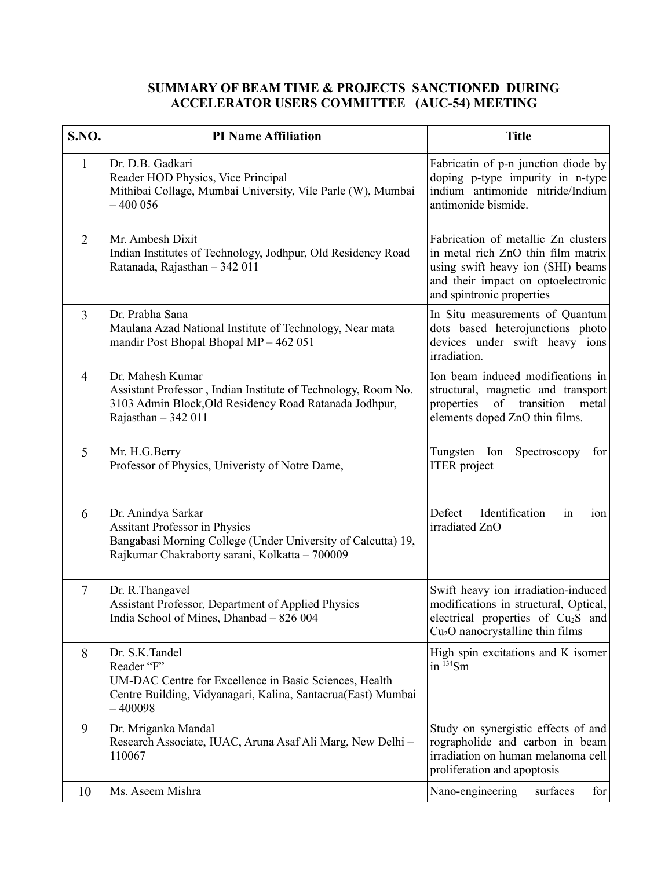## **SUMMARY OF BEAM TIME & PROJECTS SANCTIONED DURING ACCELERATOR USERS COMMITTEE (AUC-54) MEETING**

| S.NO.          | <b>PI Name Affiliation</b>                                                                                                                                                   | <b>Title</b>                                                                                                                                                                      |
|----------------|------------------------------------------------------------------------------------------------------------------------------------------------------------------------------|-----------------------------------------------------------------------------------------------------------------------------------------------------------------------------------|
| $\mathbf{1}$   | Dr. D.B. Gadkari<br>Reader HOD Physics, Vice Principal<br>Mithibai Collage, Mumbai University, Vile Parle (W), Mumbai<br>$-400056$                                           | Fabricatin of p-n junction diode by<br>doping p-type impurity in n-type<br>indium antimonide nitride/Indium<br>antimonide bismide.                                                |
| $\overline{2}$ | Mr. Ambesh Dixit<br>Indian Institutes of Technology, Jodhpur, Old Residency Road<br>Ratanada, Rajasthan - 342 011                                                            | Fabrication of metallic Zn clusters<br>in metal rich ZnO thin film matrix<br>using swift heavy ion (SHI) beams<br>and their impact on optoelectronic<br>and spintronic properties |
| 3              | Dr. Prabha Sana<br>Maulana Azad National Institute of Technology, Near mata<br>mandir Post Bhopal Bhopal MP - 462 051                                                        | In Situ measurements of Quantum<br>dots based heterojunctions photo<br>devices under swift heavy ions<br>irradiation.                                                             |
| $\overline{4}$ | Dr. Mahesh Kumar<br>Assistant Professor, Indian Institute of Technology, Room No.<br>3103 Admin Block, Old Residency Road Ratanada Jodhpur,<br>Rajasthan $-342011$           | Ion beam induced modifications in<br>structural, magnetic and transport<br>of transition<br>metal<br>properties<br>elements doped ZnO thin films.                                 |
| 5              | Mr. H.G.Berry<br>Professor of Physics, Univeristy of Notre Dame,                                                                                                             | for<br>Tungsten Ion<br>Spectroscopy<br><b>ITER</b> project                                                                                                                        |
| 6              | Dr. Anindya Sarkar<br><b>Assitant Professor in Physics</b><br>Bangabasi Morning College (Under University of Calcutta) 19,<br>Rajkumar Chakraborty sarani, Kolkatta - 700009 | Defect<br>Identification<br>in<br>ion<br>irradiated ZnO                                                                                                                           |
| $\overline{7}$ | Dr. R. Thangavel<br>Assistant Professor, Department of Applied Physics<br>India School of Mines, Dhanbad - 826 004                                                           | Swift heavy ion irradiation-induced<br>modifications in structural, Optical,<br>electrical properties of Cu <sub>2</sub> S and<br>$Cu2O$ nanocrystalline thin films               |
| 8              | Dr. S.K.Tandel<br>Reader "F"<br>UM-DAC Centre for Excellence in Basic Sciences, Health<br>Centre Building, Vidyanagari, Kalina, Santacrua(East) Mumbai<br>$-400098$          | High spin excitations and K isomer<br>in $^{134}Sm$                                                                                                                               |
| 9              | Dr. Mriganka Mandal<br>Research Associate, IUAC, Aruna Asaf Ali Marg, New Delhi -<br>110067                                                                                  | Study on synergistic effects of and<br>rographolide and carbon in beam<br>irradiation on human melanoma cell<br>proliferation and apoptosis                                       |
| 10             | Ms. Aseem Mishra                                                                                                                                                             | Nano-engineering<br>surfaces<br>for                                                                                                                                               |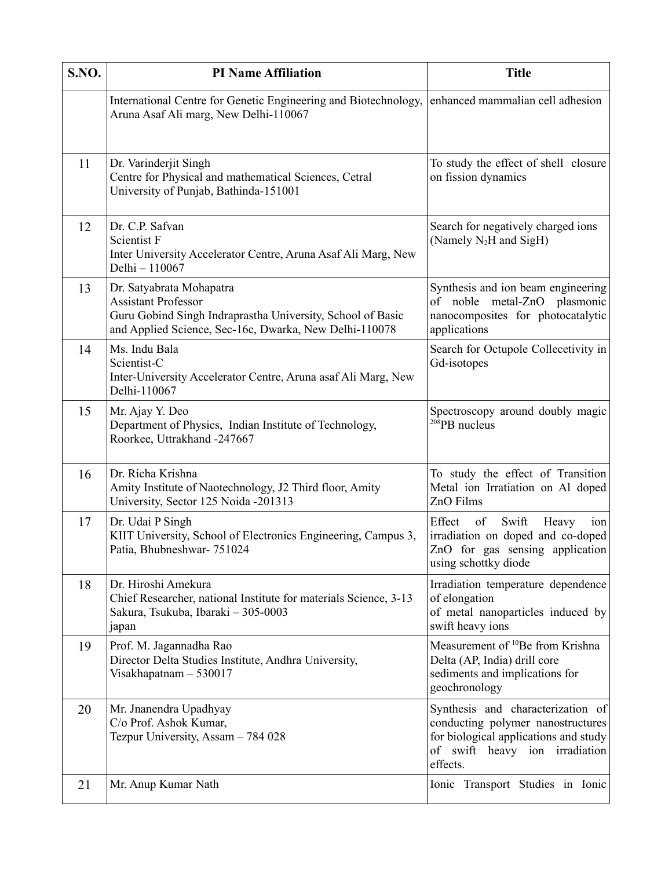| S.NO. | <b>PI Name Affiliation</b>                                                                                                                                                     | <b>Title</b>                                                                                                                                                  |
|-------|--------------------------------------------------------------------------------------------------------------------------------------------------------------------------------|---------------------------------------------------------------------------------------------------------------------------------------------------------------|
|       | International Centre for Genetic Engineering and Biotechnology,<br>Aruna Asaf Ali marg, New Delhi-110067                                                                       | enhanced mammalian cell adhesion                                                                                                                              |
| 11    | Dr. Varinderjit Singh<br>Centre for Physical and mathematical Sciences, Cetral<br>University of Punjab, Bathinda-151001                                                        | To study the effect of shell closure<br>on fission dynamics                                                                                                   |
| 12    | Dr. C.P. Safvan<br>Scientist F<br>Inter University Accelerator Centre, Aruna Asaf Ali Marg, New<br>Delhi - 110067                                                              | Search for negatively charged ions<br>(Namely N <sub>2</sub> H and SigH)                                                                                      |
| 13    | Dr. Satyabrata Mohapatra<br><b>Assistant Professor</b><br>Guru Gobind Singh Indraprastha University, School of Basic<br>and Applied Science, Sec-16c, Dwarka, New Delhi-110078 | Synthesis and ion beam engineering<br>of noble metal-ZnO plasmonic<br>nanocomposites for photocatalytic<br>applications                                       |
| 14    | Ms. Indu Bala<br>Scientist-C<br>Inter-University Accelerator Centre, Aruna asaf Ali Marg, New<br>Delhi-110067                                                                  | Search for Octupole Collecetivity in<br>Gd-isotopes                                                                                                           |
| 15    | Mr. Ajay Y. Deo<br>Department of Physics, Indian Institute of Technology,<br>Roorkee, Uttrakhand -247667                                                                       | Spectroscopy around doubly magic<br>$208$ PB nucleus                                                                                                          |
| 16    | Dr. Richa Krishna<br>Amity Institute of Naotechnology, J2 Third floor, Amity<br>University, Sector 125 Noida -201313                                                           | To study the effect of Transition<br>Metal ion Irratiation on Al doped<br>ZnO Films                                                                           |
| 17    | Dr. Udai P Singh<br>KIIT University, School of Electronics Engineering, Campus 3,<br>Patia, Bhubneshwar- 751024                                                                | Effect<br>Swift<br>of<br>Heavy<br>ion<br>irradiation on doped and co-doped<br>ZnO for gas sensing application<br>using schottky diode                         |
| 18    | Dr. Hiroshi Amekura<br>Chief Researcher, national Institute for materials Science, 3-13<br>Sakura, Tsukuba, Ibaraki - 305-0003<br>japan                                        | Irradiation temperature dependence<br>of elongation<br>of metal nanoparticles induced by<br>swift heavy ions                                                  |
| 19    | Prof. M. Jagannadha Rao<br>Director Delta Studies Institute, Andhra University,<br>Visakhapatnam $-530017$                                                                     | Measurement of <sup>10</sup> Be from Krishna<br>Delta (AP, India) drill core<br>sediments and implications for<br>geochronology                               |
| 20    | Mr. Jnanendra Upadhyay<br>C/o Prof. Ashok Kumar,<br>Tezpur University, Assam - 784 028                                                                                         | Synthesis and characterization of<br>conducting polymer nanostructures<br>for biological applications and study<br>of swift heavy ion irradiation<br>effects. |
| 21    | Mr. Anup Kumar Nath                                                                                                                                                            | Ionic Transport Studies in Ionic                                                                                                                              |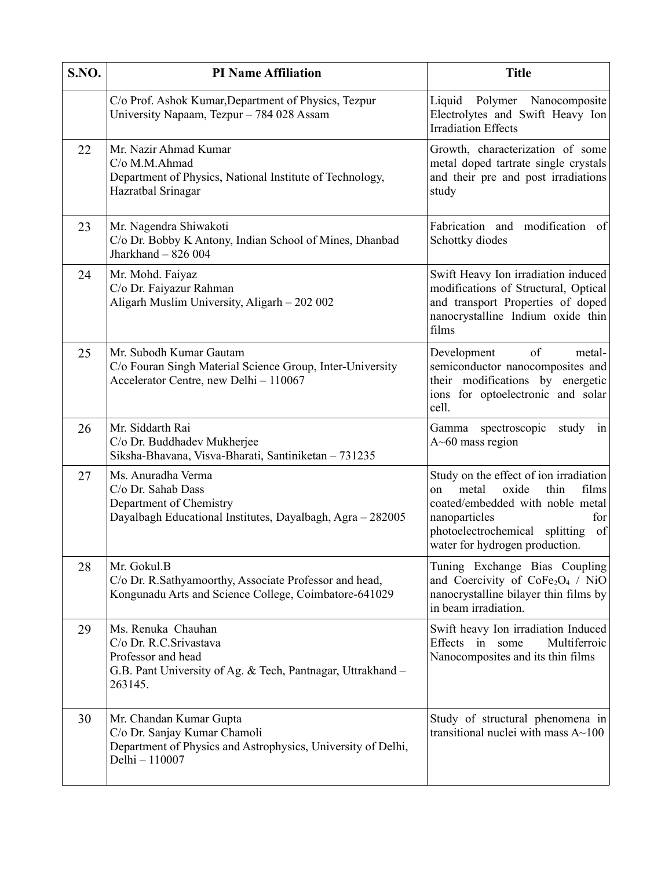| S.NO. | <b>PI Name Affiliation</b>                                                                                                                   | <b>Title</b>                                                                                                                                                                                                          |
|-------|----------------------------------------------------------------------------------------------------------------------------------------------|-----------------------------------------------------------------------------------------------------------------------------------------------------------------------------------------------------------------------|
|       | C/o Prof. Ashok Kumar, Department of Physics, Tezpur<br>University Napaam, Tezpur - 784 028 Assam                                            | Liquid Polymer Nanocomposite<br>Electrolytes and Swift Heavy Ion<br><b>Irradiation Effects</b>                                                                                                                        |
| 22    | Mr. Nazir Ahmad Kumar<br>C/o M.M.Ahmad<br>Department of Physics, National Institute of Technology,<br>Hazratbal Srinagar                     | Growth, characterization of some<br>metal doped tartrate single crystals<br>and their pre and post irradiations<br>study                                                                                              |
| 23    | Mr. Nagendra Shiwakoti<br>C/o Dr. Bobby K Antony, Indian School of Mines, Dhanbad<br>Jharkhand - 826 004                                     | Fabrication and modification of<br>Schottky diodes                                                                                                                                                                    |
| 24    | Mr. Mohd. Faiyaz<br>C/o Dr. Faiyazur Rahman<br>Aligarh Muslim University, Aligarh – 202 002                                                  | Swift Heavy Ion irradiation induced<br>modifications of Structural, Optical<br>and transport Properties of doped<br>nanocrystalline Indium oxide thin<br>films                                                        |
| 25    | Mr. Subodh Kumar Gautam<br>C/o Fouran Singh Material Science Group, Inter-University<br>Accelerator Centre, new Delhi - 110067               | Development<br>of<br>metal-<br>semiconductor nanocomposites and<br>their modifications by energetic<br>ions for optoelectronic and solar<br>cell.                                                                     |
| 26    | Mr. Siddarth Rai<br>C/o Dr. Buddhadev Mukherjee<br>Siksha-Bhavana, Visva-Bharati, Santiniketan - 731235                                      | Gamma<br>spectroscopic<br>study<br>in<br>$A \sim 60$ mass region                                                                                                                                                      |
| 27    | Ms. Anuradha Verma<br>C/o Dr. Sahab Dass<br>Department of Chemistry<br>Dayalbagh Educational Institutes, Dayalbagh, Agra - 282005            | Study on the effect of ion irradiation<br>oxide<br>thin<br>metal<br>films<br>on<br>coated/embedded with noble metal<br>nanoparticles<br>for<br>photoelectrochemical splitting<br>of<br>water for hydrogen production. |
| 28    | Mr. Gokul.B<br>C/o Dr. R.Sathyamoorthy, Associate Professor and head,<br>Kongunadu Arts and Science College, Coimbatore-641029               | Tuning Exchange Bias Coupling<br>and Coercivity of CoFe <sub>2</sub> O <sub>4</sub> / NiO<br>nanocrystalline bilayer thin films by<br>in beam irradiation.                                                            |
| 29    | Ms. Renuka Chauhan<br>C/o Dr. R.C.Srivastava<br>Professor and head<br>G.B. Pant University of Ag. & Tech, Pantnagar, Uttrakhand -<br>263145. | Swift heavy Ion irradiation Induced<br>Multiferroic<br>Effects in some<br>Nanocomposites and its thin films                                                                                                           |
| 30    | Mr. Chandan Kumar Gupta<br>C/o Dr. Sanjay Kumar Chamoli<br>Department of Physics and Astrophysics, University of Delhi,<br>Delhi - 110007    | Study of structural phenomena in<br>transitional nuclei with mass $A \sim 100$                                                                                                                                        |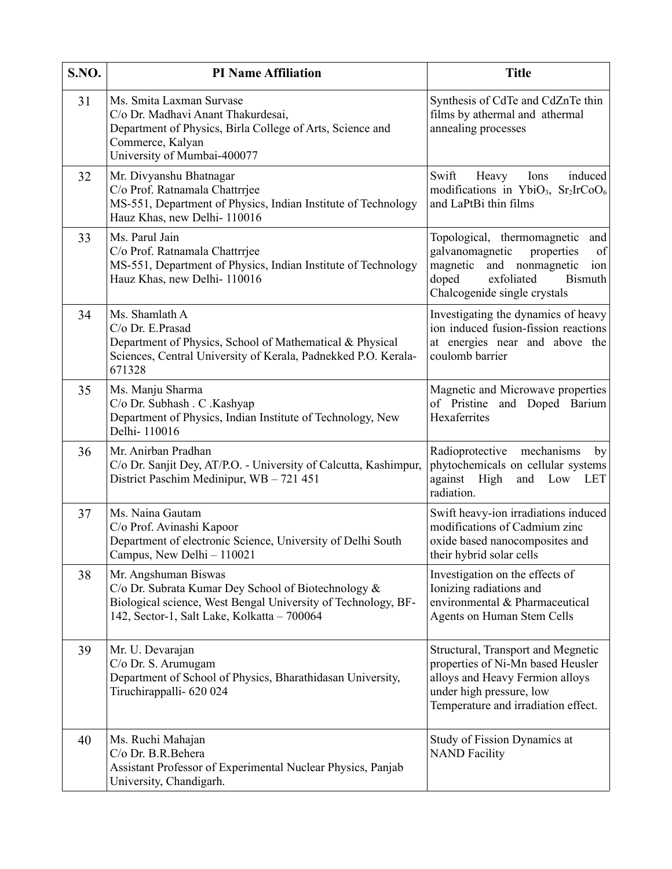| S.NO. | <b>PI Name Affiliation</b>                                                                                                                                                                  | <b>Title</b>                                                                                                                                                                             |
|-------|---------------------------------------------------------------------------------------------------------------------------------------------------------------------------------------------|------------------------------------------------------------------------------------------------------------------------------------------------------------------------------------------|
| 31    | Ms. Smita Laxman Survase<br>C/o Dr. Madhavi Anant Thakurdesai,<br>Department of Physics, Birla College of Arts, Science and<br>Commerce, Kalyan<br>University of Mumbai-400077              | Synthesis of CdTe and CdZnTe thin<br>films by athermal and athermal<br>annealing processes                                                                                               |
| 32    | Mr. Divyanshu Bhatnagar<br>C/o Prof. Ratnamala Chattrrjee<br>MS-551, Department of Physics, Indian Institute of Technology<br>Hauz Khas, new Delhi-110016                                   | Swift<br>induced<br>Heavy<br>Ions<br>modifications in YbiO <sub>3</sub> , $Sr2IrCoO6$<br>and LaPtBi thin films                                                                           |
| 33    | Ms. Parul Jain<br>C/o Prof. Ratnamala Chattrrjee<br>MS-551, Department of Physics, Indian Institute of Technology<br>Hauz Khas, new Delhi-110016                                            | Topological, thermomagnetic<br>and<br>of<br>galvanomagnetic<br>properties<br>magnetic<br>and nonmagnetic<br>ion<br>doped<br>exfoliated<br><b>Bismuth</b><br>Chalcogenide single crystals |
| 34    | Ms. Shamlath A<br>C/o Dr. E.Prasad<br>Department of Physics, School of Mathematical & Physical<br>Sciences, Central University of Kerala, Padnekked P.O. Kerala-<br>671328                  | Investigating the dynamics of heavy<br>ion induced fusion-fission reactions<br>at energies near and above the<br>coulomb barrier                                                         |
| 35    | Ms. Manju Sharma<br>C/o Dr. Subhash . C . Kashyap<br>Department of Physics, Indian Institute of Technology, New<br>Delhi-110016                                                             | Magnetic and Microwave properties<br>of Pristine<br>and Doped Barium<br>Hexaferrites                                                                                                     |
| 36    | Mr. Anirban Pradhan<br>C/o Dr. Sanjit Dey, AT/P.O. - University of Calcutta, Kashimpur,<br>District Paschim Medinipur, WB - 721 451                                                         | Radioprotective mechanisms<br>by<br>phytochemicals on cellular systems<br>against High<br>and Low LET<br>radiation.                                                                      |
| 37    | Ms. Naina Gautam<br>C/o Prof. Avinashi Kapoor<br>Department of electronic Science, University of Delhi South<br>Campus, New Delhi - 110021                                                  | Swift heavy-ion irradiations induced<br>modifications of Cadmium zinc<br>oxide based nanocomposites and<br>their hybrid solar cells                                                      |
| 38    | Mr. Angshuman Biswas<br>C/o Dr. Subrata Kumar Dey School of Biotechnology &<br>Biological science, West Bengal University of Technology, BF-<br>142, Sector-1, Salt Lake, Kolkatta - 700064 | Investigation on the effects of<br>Ionizing radiations and<br>environmental & Pharmaceutical<br><b>Agents on Human Stem Cells</b>                                                        |
| 39    | Mr. U. Devarajan<br>C/o Dr. S. Arumugam<br>Department of School of Physics, Bharathidasan University,<br>Tiruchirappalli- 620 024                                                           | Structural, Transport and Megnetic<br>properties of Ni-Mn based Heusler<br>alloys and Heavy Fermion alloys<br>under high pressure, low<br>Temperature and irradiation effect.            |
| 40    | Ms. Ruchi Mahajan<br>C/o Dr. B.R.Behera<br>Assistant Professor of Experimental Nuclear Physics, Panjab<br>University, Chandigarh.                                                           | Study of Fission Dynamics at<br><b>NAND Facility</b>                                                                                                                                     |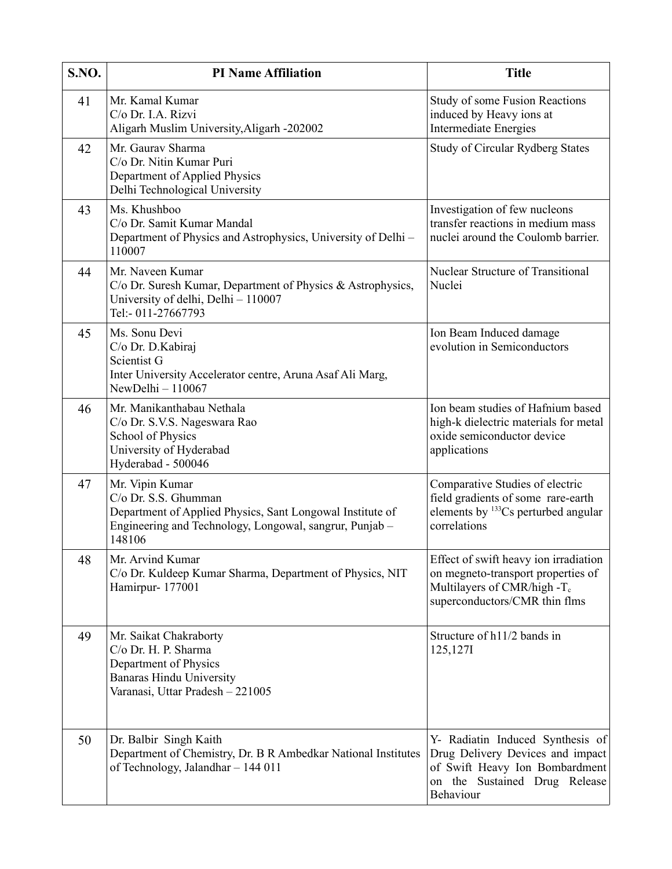| S.NO. | <b>PI Name Affiliation</b>                                                                                                                                                | <b>Title</b>                                                                                                                                            |
|-------|---------------------------------------------------------------------------------------------------------------------------------------------------------------------------|---------------------------------------------------------------------------------------------------------------------------------------------------------|
| 41    | Mr. Kamal Kumar<br>C/o Dr. I.A. Rizvi<br>Aligarh Muslim University, Aligarh -202002                                                                                       | Study of some Fusion Reactions<br>induced by Heavy ions at<br><b>Intermediate Energies</b>                                                              |
| 42    | Mr. Gaurav Sharma<br>C/o Dr. Nitin Kumar Puri<br>Department of Applied Physics<br>Delhi Technological University                                                          | <b>Study of Circular Rydberg States</b>                                                                                                                 |
| 43    | Ms. Khushboo<br>C/o Dr. Samit Kumar Mandal<br>Department of Physics and Astrophysics, University of Delhi -<br>110007                                                     | Investigation of few nucleons<br>transfer reactions in medium mass<br>nuclei around the Coulomb barrier.                                                |
| 44    | Mr. Naveen Kumar<br>C/o Dr. Suresh Kumar, Department of Physics & Astrophysics,<br>University of delhi, Delhi - 110007<br>Tel:-011-27667793                               | <b>Nuclear Structure of Transitional</b><br>Nuclei                                                                                                      |
| 45    | Ms. Sonu Devi<br>C/o Dr. D. Kabiraj<br>Scientist G<br>Inter University Accelerator centre, Aruna Asaf Ali Marg,<br>NewDelhi $-110067$                                     | Ion Beam Induced damage<br>evolution in Semiconductors                                                                                                  |
| 46    | Mr. Manikanthabau Nethala<br>C/o Dr. S.V.S. Nageswara Rao<br>School of Physics<br>University of Hyderabad<br>Hyderabad - 500046                                           | Ion beam studies of Hafnium based<br>high-k dielectric materials for metal<br>oxide semiconductor device<br>applications                                |
| 47    | Mr. Vipin Kumar<br>C/o Dr. S.S. Ghumman<br>Department of Applied Physics, Sant Longowal Institute of<br>Engineering and Technology, Longowal, sangrur, Punjab –<br>148106 | Comparative Studies of electric<br>field gradients of some rare-earth<br>elements by $^{133}Cs$ perturbed angular<br>correlations                       |
| 48    | Mr. Arvind Kumar<br>C/o Dr. Kuldeep Kumar Sharma, Department of Physics, NIT<br>Hamirpur-177001                                                                           | Effect of swift heavy ion irradiation<br>on megneto-transport properties of<br>Multilayers of CMR/high -T <sub>c</sub><br>superconductors/CMR thin flms |
| 49    | Mr. Saikat Chakraborty<br>C/o Dr. H. P. Sharma<br>Department of Physics<br><b>Banaras Hindu University</b><br>Varanasi, Uttar Pradesh - 221005                            | Structure of h11/2 bands in<br>125,1271                                                                                                                 |
| 50    | Dr. Balbir Singh Kaith<br>Department of Chemistry, Dr. B R Ambedkar National Institutes<br>of Technology, Jalandhar - 144 011                                             | Y- Radiatin Induced Synthesis of<br>Drug Delivery Devices and impact<br>of Swift Heavy Ion Bombardment<br>on the Sustained Drug Release<br>Behaviour    |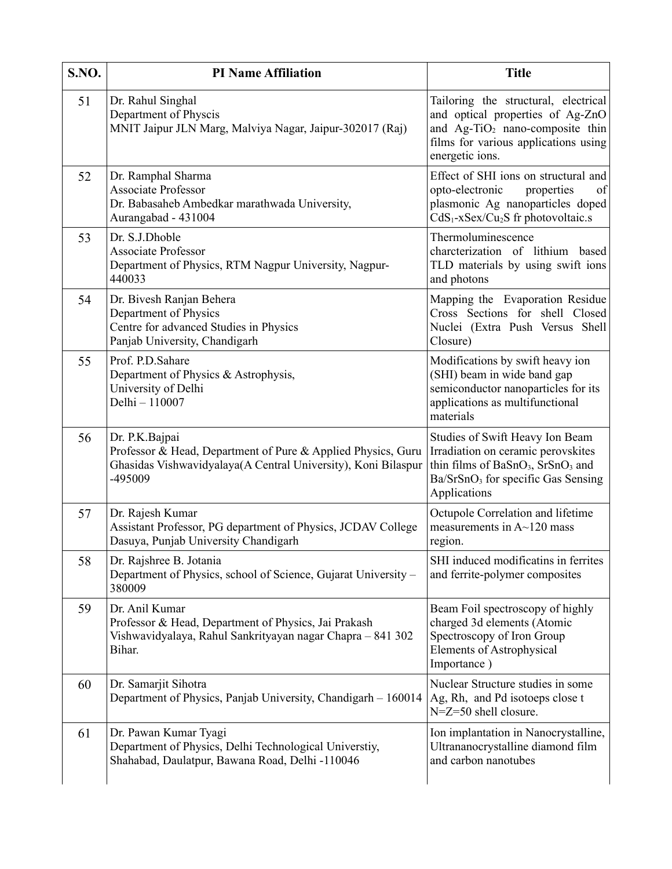| S.NO. | <b>PI Name Affiliation</b>                                                                                                                                 | <b>Title</b>                                                                                                                                                                                         |
|-------|------------------------------------------------------------------------------------------------------------------------------------------------------------|------------------------------------------------------------------------------------------------------------------------------------------------------------------------------------------------------|
| 51    | Dr. Rahul Singhal<br>Department of Physcis<br>MNIT Jaipur JLN Marg, Malviya Nagar, Jaipur-302017 (Raj)                                                     | Tailoring the structural, electrical<br>and optical properties of Ag-ZnO<br>and $Ag-TiO2$ nano-composite thin<br>films for various applications using<br>energetic ions.                             |
| 52    | Dr. Ramphal Sharma<br><b>Associate Professor</b><br>Dr. Babasaheb Ambedkar marathwada University,<br>Aurangabad - 431004                                   | Effect of SHI ions on structural and<br>of<br>opto-electronic<br>properties<br>plasmonic Ag nanoparticles doped<br>$CdS1-xSex/Cu2S$ fr photovoltaic.s                                                |
| 53    | Dr. S.J.Dhoble<br><b>Associate Professor</b><br>Department of Physics, RTM Nagpur University, Nagpur-<br>440033                                            | Thermoluminescence<br>charcterization of lithium based<br>TLD materials by using swift ions<br>and photons                                                                                           |
| 54    | Dr. Bivesh Ranjan Behera<br>Department of Physics<br>Centre for advanced Studies in Physics<br>Panjab University, Chandigarh                               | Mapping the Evaporation Residue<br>Cross Sections for shell Closed<br>Nuclei (Extra Push Versus Shell<br>Closure)                                                                                    |
| 55    | Prof. P.D.Sahare<br>Department of Physics & Astrophysis,<br>University of Delhi<br>Delhi - 110007                                                          | Modifications by swift heavy ion<br>(SHI) beam in wide band gap<br>semiconductor nanoparticles for its<br>applications as multifunctional<br>materials                                               |
| 56    | Dr. P.K.Bajpai<br>Professor & Head, Department of Pure & Applied Physics, Guru<br>Ghasidas Vishwavidyalaya(A Central University), Koni Bilaspur<br>-495009 | Studies of Swift Heavy Ion Beam<br>Irradiation on ceramic perovskites<br>thin films of BaSnO <sub>3</sub> , SrSnO <sub>3</sub> and<br>Ba/SrSnO <sub>3</sub> for specific Gas Sensing<br>Applications |
| 57    | Dr. Rajesh Kumar<br>Assistant Professor, PG department of Physics, JCDAV College<br>Dasuya, Punjab University Chandigarh                                   | Octupole Correlation and lifetime<br>measurements in $A \sim 120$ mass<br>region.                                                                                                                    |
| 58    | Dr. Rajshree B. Jotania<br>Department of Physics, school of Science, Gujarat University –<br>380009                                                        | SHI induced modificatins in ferrites<br>and ferrite-polymer composites                                                                                                                               |
| 59    | Dr. Anil Kumar<br>Professor & Head, Department of Physics, Jai Prakash<br>Vishwavidyalaya, Rahul Sankrityayan nagar Chapra - 841 302<br>Bihar.             | Beam Foil spectroscopy of highly<br>charged 3d elements (Atomic<br>Spectroscopy of Iron Group<br><b>Elements of Astrophysical</b><br>Importance)                                                     |
| 60    | Dr. Samarjit Sihotra<br>Department of Physics, Panjab University, Chandigarh - 160014                                                                      | Nuclear Structure studies in some<br>Ag, Rh, and Pd isotoeps close t<br>$N = Z = 50$ shell closure.                                                                                                  |
| 61    | Dr. Pawan Kumar Tyagi<br>Department of Physics, Delhi Technological Universtiy,<br>Shahabad, Daulatpur, Bawana Road, Delhi -110046                         | Ion implantation in Nanocrystalline,<br>Ultrananocrystalline diamond film<br>and carbon nanotubes                                                                                                    |